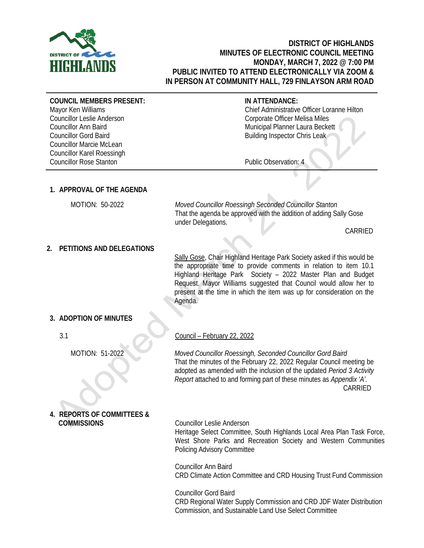

## **DISTRICT OF HIGHLANDS MINUTES OF ELECTRONIC COUNCIL MEETING MONDAY, MARCH 7, 2022 @ 7:00 PM PUBLIC INVITED TO ATTEND ELECTRONICALLY VIA ZOOM & IN PERSON AT COMMUNITY HALL, 729 FINLAYSON ARM ROAD**

**COUNCIL MEMBERS PRESENT:**

Mayor Ken Williams Councillor Leslie Anderson Councillor Ann Baird Councillor Gord Baird Councillor Marcie McLean Councillor Karel Roessingh Councillor Rose Stanton

## **IN ATTENDANCE:**

Chief Administrative Officer Loranne Hilton Corporate Officer Melisa Miles Municipal Planner Laura Beckett Building Inspector Chris Leak

Public Observation: 4

# **1. APPROVAL OF THE AGENDA**

 MOTION: 50-2022 *Moved Councillor Roessingh Seconded Councillor Stanton* That the agenda be approved with the addition of adding Sally Gose under Delegations.

CARRIED

# **2. PETITIONS AND DELEGATIONS**

Sally Gose, Chair Highland Heritage Park Society asked if this would be the appropriate time to provide comments in relation to item 10.1 Highland Heritage Park Society – 2022 Master Plan and Budget Request. Mayor Williams suggested that Council would allow her to present at the time in which the item was up for consideration on the Agenda.

# **3. ADOPTION OF MINUTES**

3.1

MOTION: 51-2022

**4. REPORTS OF COMMITTEES & COMMISSIONS** Councillor Leslie Anderson

Council – February 22, 2022

*Moved Councillor Roessingh, Seconded Councillor Gord Baird* That the minutes of the February 22, 2022 Regular Council meeting be adopted as amended with the inclusion of the updated *Period 3 Activity Report* attached to and forming part of these minutes as *Appendix 'A'.* CARRIED

Heritage Select Committee, South Highlands Local Area Plan Task Force, West Shore Parks and Recreation Society and Western Communities Policing Advisory Committee

Councillor Ann Baird CRD Climate Action Committee and CRD Housing Trust Fund Commission

Councillor Gord Baird CRD Regional Water Supply Commission and CRD JDF Water Distribution Commission, and Sustainable Land Use Select Committee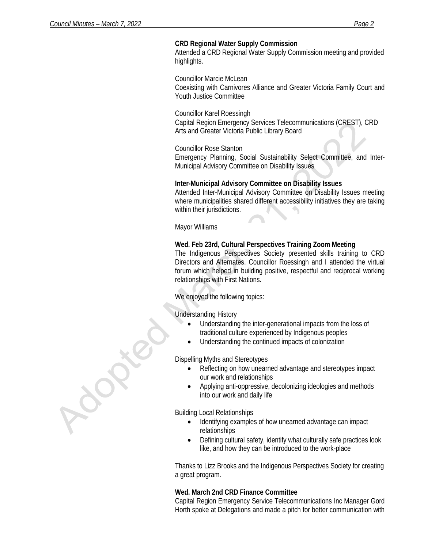### **CRD Regional Water Supply Commission**

Attended a CRD Regional Water Supply Commission meeting and provided highlights.

Councillor Marcie McLean Coexisting with Carnivores Alliance and Greater Victoria Family Court and Youth Justice Committee

Councillor Karel Roessingh Capital Region Emergency Services Telecommunications (CREST), CRD Arts and Greater Victoria Public Library Board

Councillor Rose Stanton Emergency Planning, Social Sustainability Select Committee, and Inter-Municipal Advisory Committee on Disability Issues

## **Inter-Municipal Advisory Committee on Disability Issues**

Attended Inter-Municipal Advisory Committee on Disability Issues meeting where municipalities shared different accessibility initiatives they are taking within their jurisdictions.

Mayor Williams

#### **Wed. Feb 23rd, Cultural Perspectives Training Zoom Meeting**

The Indigenous Perspectives Society presented skills training to CRD Directors and Alternates. Councillor Roessingh and I attended the virtual forum which helped in building positive, respectful and reciprocal working relationships with First Nations.

We enjoyed the following topics:

Understanding History

- Understanding the inter-generational impacts from the loss of traditional culture experienced by Indigenous peoples
- Understanding the continued impacts of colonization

Dispelling Myths and Stereotypes

- Reflecting on how unearned advantage and stereotypes impact our work and relationships
- Applying anti-oppressive, decolonizing ideologies and methods into our work and daily life

Building Local Relationships

- Identifying examples of how unearned advantage can impact relationships
- Defining cultural safety, identify what culturally safe practices look like, and how they can be introduced to the work-place

Thanks to Lizz Brooks and the Indigenous Perspectives Society for creating a great program.

#### **Wed. March 2nd CRD Finance Committee**

Capital Region Emergency Service Telecommunications Inc Manager Gord Horth spoke at Delegations and made a pitch for better communication with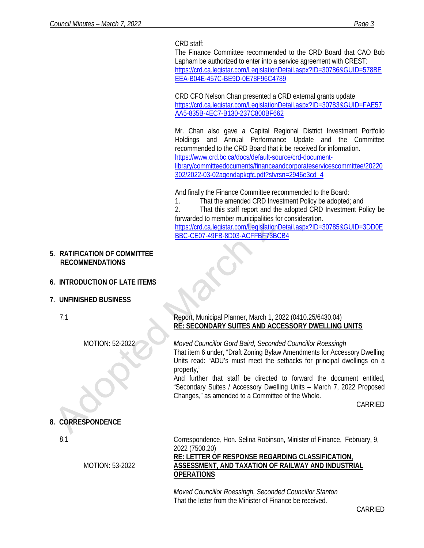CRD staff:

The Finance Committee recommended to the CRD Board that CAO Bob Lapham be authorized to enter into a service agreement with CREST: [https://crd.ca.legistar.com/LegislationDetail.aspx?ID=30786&GUID=578BE](https://crd.ca.legistar.com/LegislationDetail.aspx?ID=30786&GUID=578BEEEA-B04E-457C-BE9D-0E78F96C4789) [EEA-B04E-457C-BE9D-0E78F96C4789](https://crd.ca.legistar.com/LegislationDetail.aspx?ID=30786&GUID=578BEEEA-B04E-457C-BE9D-0E78F96C4789)

CRD CFO Nelson Chan presented a CRD external grants update [https://crd.ca.legistar.com/LegislationDetail.aspx?ID=30783&GUID=FAE57](https://crd.ca.legistar.com/LegislationDetail.aspx?ID=30783&GUID=FAE57AA5-835B-4EC7-B130-237C800BF662) [AA5-835B-4EC7-B130-237C800BF662](https://crd.ca.legistar.com/LegislationDetail.aspx?ID=30783&GUID=FAE57AA5-835B-4EC7-B130-237C800BF662)

Mr. Chan also gave a Capital Regional District Investment Portfolio Holdings and Annual Performance Update and the Committee recommended to the CRD Board that it be received for information. [https://www.crd.bc.ca/docs/default-source/crd-document](https://www.crd.bc.ca/docs/default-source/crd-document-library/committeedocuments/financeandcorporateservicescommittee/20220302/2022-03-02agendapkgfc.pdf?sfvrsn=2946e3cd_4)[library/committeedocuments/financeandcorporateservicescommittee/20220](https://www.crd.bc.ca/docs/default-source/crd-document-library/committeedocuments/financeandcorporateservicescommittee/20220302/2022-03-02agendapkgfc.pdf?sfvrsn=2946e3cd_4) [302/2022-03-02agendapkgfc.pdf?sfvrsn=2946e3cd\\_4](https://www.crd.bc.ca/docs/default-source/crd-document-library/committeedocuments/financeandcorporateservicescommittee/20220302/2022-03-02agendapkgfc.pdf?sfvrsn=2946e3cd_4)

And finally the Finance Committee recommended to the Board:

1. That the amended CRD Investment Policy be adopted; and

2. That this staff report and the adopted CRD Investment Policy be forwarded to member municipalities for consideration. [https://crd.ca.legistar.com/LegislationDetail.aspx?ID=30785&GUID=3DD0E](https://crd.ca.legistar.com/LegislationDetail.aspx?ID=30785&GUID=3DD0EBBC-CE07-49FB-8D03-ACFFBF73BCB4) [BBC-CE07-49FB-8D03-ACFFBF73BCB4](https://crd.ca.legistar.com/LegislationDetail.aspx?ID=30785&GUID=3DD0EBBC-CE07-49FB-8D03-ACFFBF73BCB4)

**5. RATIFICATION OF COMMITTEE RECOMMENDATIONS**

# **6. INTRODUCTION OF LATE ITEMS**

- **7. UNFINISHED BUSINESS**
	- 7.1

MOTION: 52-2022

**8. CORRESPONDENCE**

MOTION: 53-2022

## Report, Municipal Planner, March 1, 2022 (0410.25/6430.04) **RE: SECONDARY SUITES AND ACCESSORY DWELLING UNITS**

*Moved Councillor Gord Baird, Seconded Councillor Roessingh* That item 6 under, "Draft Zoning Bylaw Amendments for Accessory Dwelling Units read: "ADU's must meet the setbacks for principal dwellings on a property,"

And further that staff be directed to forward the document entitled, "Secondary Suites / Accessory Dwelling Units – March 7, 2022 Proposed Changes," as amended to a Committee of the Whole.

CARRIED

Correspondence, Hon. Selina Robinson, Minister of Finance, February, 9, 2022 (7500.20) **RE: LETTER OF RESPONSE REGARDING CLASSIFICATION,** 

# **ASSESSMENT, AND TAXATION OF RAILWAY AND INDUSTRIAL OPERATIONS**

*Moved Councillor Roessingh, Seconded Councillor Stanton* That the letter from the Minister of Finance be received.

<sup>8.1</sup>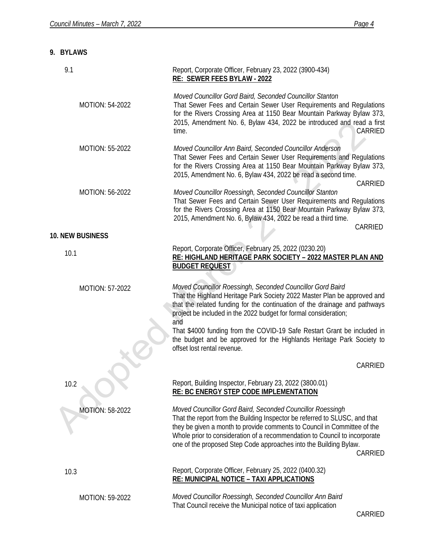# **9. BYLAWS**

| 9.1                     | Report, Corporate Officer, February 23, 2022 (3900-434)<br>RE: SEWER FEES BYLAW - 2022                                                                                                                                                                                                                                                                                             |
|-------------------------|------------------------------------------------------------------------------------------------------------------------------------------------------------------------------------------------------------------------------------------------------------------------------------------------------------------------------------------------------------------------------------|
| <b>MOTION: 54-2022</b>  | Moved Councillor Gord Baird, Seconded Councillor Stanton<br>That Sewer Fees and Certain Sewer User Requirements and Regulations<br>for the Rivers Crossing Area at 1150 Bear Mountain Parkway Bylaw 373,<br>2015, Amendment No. 6, Bylaw 434, 2022 be introduced and read a first<br>CARRIED<br>time.                                                                              |
| MOTION: 55-2022         | Moved Councillor Ann Baird, Seconded Councillor Anderson<br>That Sewer Fees and Certain Sewer User Requirements and Regulations<br>for the Rivers Crossing Area at 1150 Bear Mountain Parkway Bylaw 373,<br>2015, Amendment No. 6, Bylaw 434, 2022 be read a second time.<br>CARRIED                                                                                               |
| MOTION: 56-2022         | Moved Councillor Roessingh, Seconded Councillor Stanton<br>That Sewer Fees and Certain Sewer User Requirements and Regulations<br>for the Rivers Crossing Area at 1150 Bear Mountain Parkway Bylaw 373,<br>2015, Amendment No. 6, Bylaw 434, 2022 be read a third time.<br>CARRIED                                                                                                 |
| <b>10. NEW BUSINESS</b> |                                                                                                                                                                                                                                                                                                                                                                                    |
| 10.1                    | Report, Corporate Officer, February 25, 2022 (0230.20)<br>RE: HIGHLAND HERITAGE PARK SOCIETY - 2022 MASTER PLAN AND<br><b>BUDGET REQUEST</b>                                                                                                                                                                                                                                       |
| MOTION: 57-2022         | Moved Councillor Roessingh, Seconded Councillor Gord Baird<br>That the Highland Heritage Park Society 2022 Master Plan be approved and<br>that the related funding for the continuation of the drainage and pathways<br>project be included in the 2022 budget for formal consideration;<br>and                                                                                    |
|                         | That \$4000 funding from the COVID-19 Safe Restart Grant be included in<br>the budget and be approved for the Highlands Heritage Park Society to<br>offset lost rental revenue.                                                                                                                                                                                                    |
|                         | CARRIED                                                                                                                                                                                                                                                                                                                                                                            |
| 10.2                    | Report, Building Inspector, February 23, 2022 (3800.01)<br><b>RE: BC ENERGY STEP CODE IMPLEMENTATION</b>                                                                                                                                                                                                                                                                           |
| <b>MOTION: 58-2022</b>  | Moved Councillor Gord Baird, Seconded Councillor Roessingh<br>That the report from the Building Inspector be referred to SLUSC, and that<br>they be given a month to provide comments to Council in Committee of the<br>Whole prior to consideration of a recommendation to Council to incorporate<br>one of the proposed Step Code approaches into the Building Bylaw.<br>CARRIED |
| 10.3                    | Report, Corporate Officer, February 25, 2022 (0400.32)<br><b>RE: MUNICIPAL NOTICE - TAXI APPLICATIONS</b>                                                                                                                                                                                                                                                                          |
| MOTION: 59-2022         | Moved Councillor Roessingh, Seconded Councillor Ann Baird<br>That Council receive the Municipal notice of taxi application                                                                                                                                                                                                                                                         |